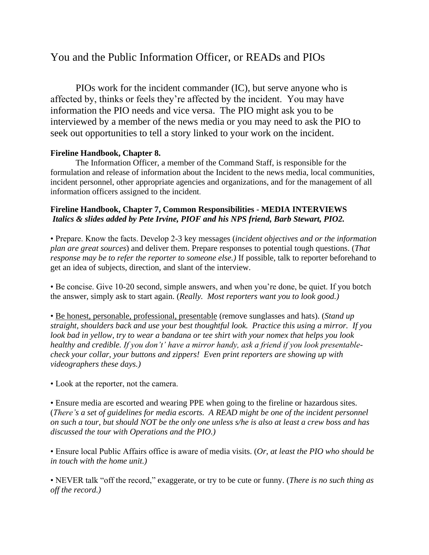## You and the Public Information Officer, or READs and PIOs

PIOs work for the incident commander (IC), but serve anyone who is affected by, thinks or feels they're affected by the incident. You may have information the PIO needs and vice versa. The PIO might ask you to be interviewed by a member of the news media or you may need to ask the PIO to seek out opportunities to tell a story linked to your work on the incident.

## **Fireline Handbook, Chapter 8.**

The Information Officer, a member of the Command Staff, is responsible for the formulation and release of information about the Incident to the news media, local communities, incident personnel, other appropriate agencies and organizations, and for the management of all information officers assigned to the incident.

## **Fireline Handbook, Chapter 7, Common Responsibilities - MEDIA INTERVIEWS**  *Italics & slides added by Pete Irvine, PIOF and his NPS friend, Barb Stewart, PIO2.*

• Prepare. Know the facts. Develop 2-3 key messages (*incident objectives and or the information plan are great sources*) and deliver them. Prepare responses to potential tough questions. (*That response may be to refer the reporter to someone else.)* If possible, talk to reporter beforehand to get an idea of subjects, direction, and slant of the interview.

• Be concise. Give 10-20 second, simple answers, and when you're done, be quiet. If you botch the answer, simply ask to start again. (*Really. Most reporters want you to look good.)*

• Be honest, personable, professional, presentable (remove sunglasses and hats). (*Stand up straight, shoulders back and use your best thoughtful look. Practice this using a mirror. If you look bad in yellow, try to wear a bandana or tee shirt with your nomex that helps you look healthy and credible. If you don't' have a mirror handy, ask a friend if you look presentablecheck your collar, your buttons and zippers! Even print reporters are showing up with videographers these days.)*

• Look at the reporter, not the camera.

• Ensure media are escorted and wearing PPE when going to the fireline or hazardous sites. (*There's a set of guidelines for media escorts. A READ might be one of the incident personnel on such a tour, but should NOT be the only one unless s/he is also at least a crew boss and has discussed the tour with Operations and the PIO.)*

• Ensure local Public Affairs office is aware of media visits. (*Or, at least the PIO who should be in touch with the home unit.)*

• NEVER talk "off the record," exaggerate, or try to be cute or funny. (*There is no such thing as off the record.)*